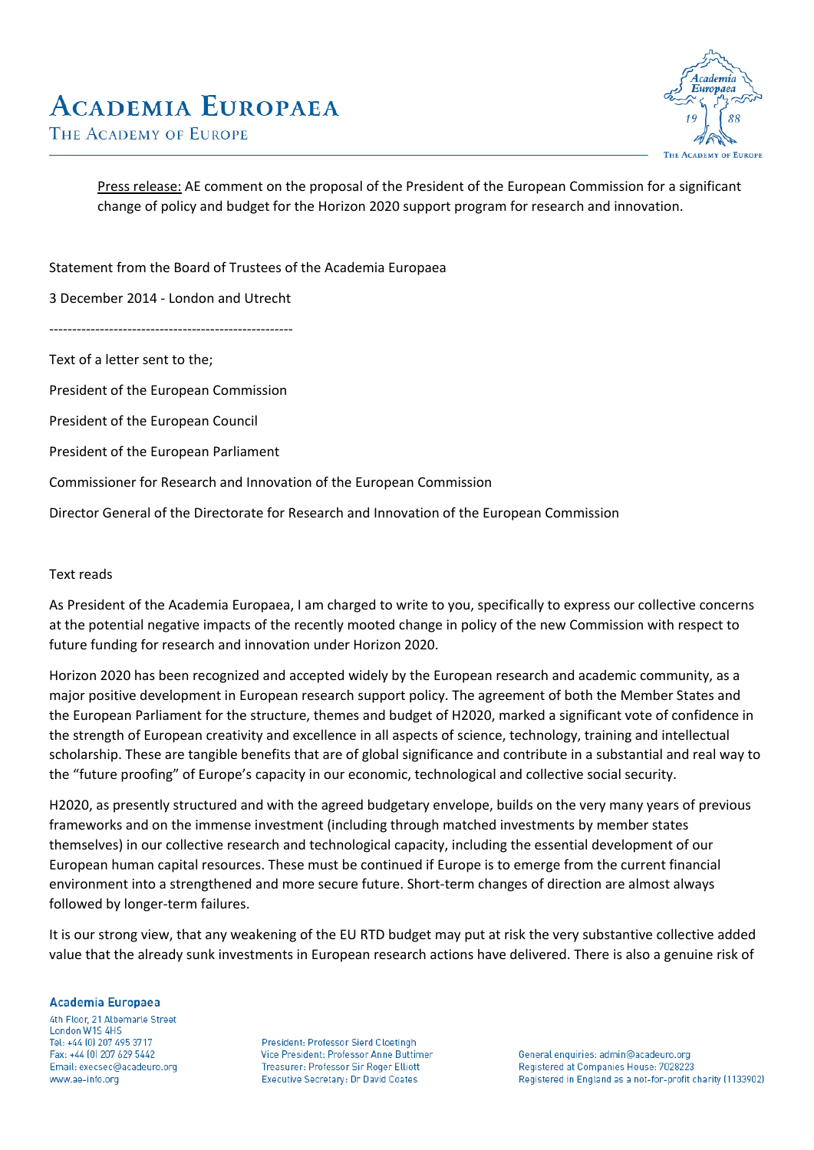

Press release: AE comment on the proposal of the President of the European Commission for a significant change of policy and budget for the Horizon 2020 support program for research and innovation.

Statement from the Board of Trustees of the Academia Europaea

3 December 2014 - London and Utrecht

-----------------------------------------------------

Text of a letter sent to the;

President of the European Commission

President of the European Council

President of the European Parliament

Commissioner for Research and Innovation of the European Commission

Director General of the Directorate for Research and Innovation of the European Commission

## Text reads

As President of the Academia Europaea, I am charged to write to you, specifically to express our collective concerns at the potential negative impacts of the recently mooted change in policy of the new Commission with respect to future funding for research and innovation under Horizon 2020.

Horizon 2020 has been recognized and accepted widely by the European research and academic community, as a major positive development in European research support policy. The agreement of both the Member States and the European Parliament for the structure, themes and budget of H2020, marked a significant vote of confidence in the strength of European creativity and excellence in all aspects of science, technology, training and intellectual scholarship. These are tangible benefits that are of global significance and contribute in a substantial and real way to the "future proofing" of Europe's capacity in our economic, technological and collective social security.

H2020, as presently structured and with the agreed budgetary envelope, builds on the very many years of previous frameworks and on the immense investment (including through matched investments by member states themselves) in our collective research and technological capacity, including the essential development of our European human capital resources. These must be continued if Europe is to emerge from the current financial environment into a strengthened and more secure future. Short-term changes of direction are almost always followed by longer-term failures.

It is our strong view, that any weakening of the EU RTD budget may put at risk the very substantive collective added value that the already sunk investments in European research actions have delivered. There is also a genuine risk of

## **Academia Europaea**

4th Floor, 21 Albemarle Street London W1S 4HS Tel: +44 (0) 207 495 3717 Fax: +44 (0) 207 629 5442 Email: execsec@acadeuro.org www.ae-info.org

President: Professor Sierd Cloetingh Vice President: Professor Anne Buttimer Treasurer: Professor Sir Roger Elliott **Executive Secretary: Dr David Coates** 

General enquiries: admin@acadeuro.org Registered at Companies House: 7028223 Registered in England as a not-for-profit charity (1133902)